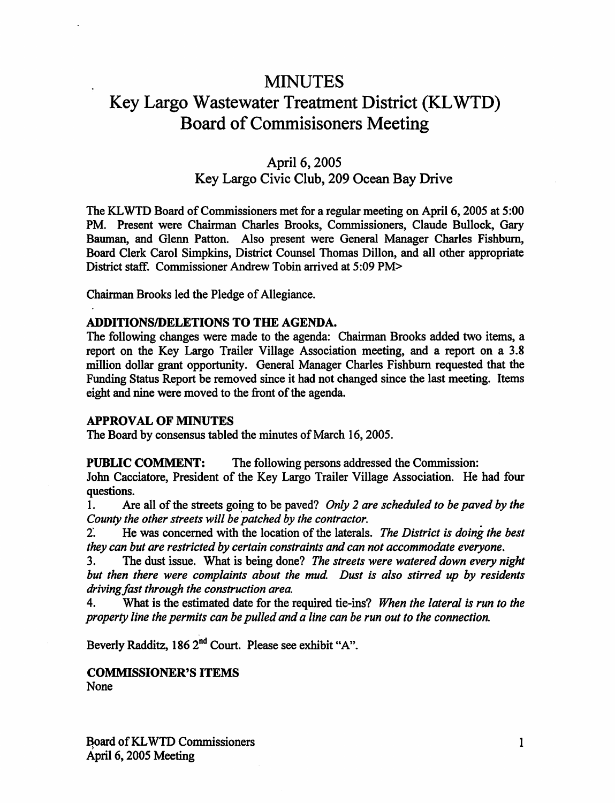# MINUTES Key Largo Wastewater Treatment District (KL WTD) Board of Commisisoners Meeting

## April 6, 2005 Key Largo Civic Club, 209 Ocean Bay Drive

The KL WTD Board of Commissioners met for a regular meeting on April 6, 2005 at *5* :00 PM. Present were Chairman Charles Brooks, Commissioners, Claude Bullock, Gary Bauman, and Glenn Patton. Also present were General Manager Charles Fishburn, Board Clerk Carol Simpkins, District Counsel Thomas Dillon, and all other appropriate District staff. Commissioner Andrew Tobin arrived at 5:09 PM>

Chairman Brooks led the Pledge of Allegiance.

#### ADDITIONS/DELETIONS TO THE AGENDA.

The following changes were made to the agenda: Chairman Brooks added two items, a report on the Key Largo Trailer Village Association meeting, and a report on a 3.8 million dollar grant opportunity. General Manager Charles Fishburn requested that the Funding Status Report be removed since it had not changed since the last meeting. Items eight and nine were moved to the front of the agenda.

#### APPROVAL OF MINUTES

The Board by consensus tabled the minutes of March 16, 2005.

PUBLIC COMMENT: The following persons addressed the Commission:

John Cacciatore, President of the Key Largo Trailer Village Association. He had four questions.

1. Are all of the streets going to be paved? *Only 2 are scheduled to be paved by the County the other streets will be patched by the contractor.* 

2·. He was concerned with the location of the laterals. *The District is doing the best they can but are restricted by certain constraints and can not accommodate everyone.* 

3. The dust issue. What is being done? *The streets were watered down every night*  but then there were complaints about the mud. Dust is also stirred up by residents *driving fast through the construction area.* 

4. What is the estimated date for the required tie-ins? *When the lateral is run to the property line the permits can be pulled and a line can be run out to the connection.* 

Beverly Radditz, 186 2<sup>nd</sup> Court. Please see exhibit "A".

#### COMMISSIONER'S ITEMS None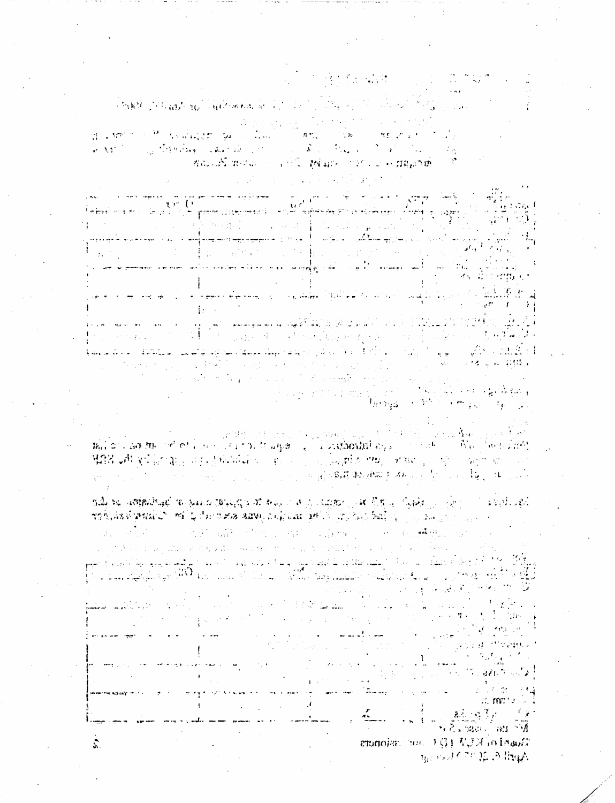THERE IT WAS TO SHER WAS A STATE OF  $\label{eq:2} \frac{1}{2}\left(\frac{1}{2}\left(\frac{1}{2}\right)^2-\frac{1}{2}\left(\frac{1}{2}\right)^2\right)=\frac{1}{2}\left(\frac{1}{2}\left(\frac{1}{2}\right)^2-\frac{1}{2}\left(\frac{1}{2}\right)^2\right)=\frac{1}{2}\left(\frac{1}{2}\right)^2$ 

19 - Mary 1990, Maria Andrew Carlos (1983), Maria Maria (1983)<br>14 - Marie II, angleški filmski politika (1983), Maria (1983), Maria (1983) in Rengen (1961)  $\sum_{i=1}^N \mathbf{p}_i^2 = \mathbf{p}_i^2 + \mathbf{p}_i^2$ Rough more of the Major consuler approxi-

 $\mathcal{L}^{\text{max}}_{\text{max}}$  , where  $\mathcal{L}^{\text{max}}_{\text{max}}$ 

المواقع المستخدم المستخدم المستخدم المستخدم المستخدم المستخدم المستخدم المستخدم المستخدم المستخدم المستخدم الم<br>المستخدم في المستخدم المستخدم المستخدم المستخدم المستخدم المستخدم المستخدم المستخدم المركب المستخدمات المستخدم in the wall of the second contact the probability of the second term of the second term of the second term of ga at the component of the component of the component of the component of the component of the component of th<br>generated <del>construction</del> of the component of the component of the component of the component of the component o وموجب معداً معاملاً و الأولى المعارفية المستخدمات الموجب التي يتحد التي يتم التي التي تناسب التي يتم التي يتم <br>الموجب التي يتم التي يتم التي تتحدد التي تتم التي تتم التي يتم التي يتم التي تتم التي يتم التي يتم التي يتم ال الريبة فالربيس والأنبيد وتوسيتني والرواري والمنادر بولهيتنين أنروس ليركد يشترعنا وبالنعر المرساس للمسمد الروان ووصحتها والمتواطن

والأوران والأفالا الانتقاد والمستجددة والأرباط والمتحافظ والمتحافظها المستمر مستمرسهم وكقورة والمؤهدات والأرميات كالمؤدب والمحاف والمتأمي ومعاقبته للمنفاء للمربوب والمستدا ستمعط المرتق ستلق an and the company of the company of the company of the company of the company of the company of the company of the company of the company of the company of the company of the company of the company of the company of the c  $\sim$  64  $\sim$  44  $\,$  110  $\,$  6  $\,$ and an and the property of the summer of the န် အသုတ် ရေးနှင့် နောက် မြောက် ပြည်သည်။<br>၁၉ ခုနှစ် - သန်းကာ ရေးကို စိတ် - ဆွေးရေးနှင့် ပြည်သည်။<br>၁၉ ခုနှစ် - သန်းကာ ရေးကို စိတ် - ဆွေးရေးနှင့်

**CONTRACT CONTRACTOR** CONTRACTOR AND this or can me for a consideration transport of a victimitation of the second field the second **HAR with you be capable of a final with the company of the context property of the company of the SRB**  $\mu$  , we have the second contract the second contract  $\mathfrak{so}_{\mathcal{H}}$  and  $\mu$  and  $\mu$  and  $\mu$  . The second contract  $\mathfrak{t}_\mathcal{H}$ 

ISLE DE APSEIGNACHE DALLE DIALOGIA DE DES CONSTANTINOS AL RIBERT (AL ALIENS AU AL AL ANTICOLOGICA) TOOR ASSEMBERED BOOK OF THE OWN STORE AND WAS ARRESTED FOR THE CONTRACTOR OF THE CONTRACTOR

 $\mathcal{L}(\mathcal{A}) = \mathcal{L}(\mathcal{A}) = \mathcal{L}(\mathcal{A}) = \mathcal{L}(\mathcal{A}) = \mathcal{L}(\mathcal{A}) = \mathcal{L}(\mathcal{A}) = \mathcal{L}(\mathcal{A}) = \mathcal{L}(\mathcal{A}) = \mathcal{L}(\mathcal{A}) = \mathcal{L}(\mathcal{A}) = \mathcal{L}(\mathcal{A}) = \mathcal{L}(\mathcal{A}) = \mathcal{L}(\mathcal{A}) = \mathcal{L}(\mathcal{A}) = \mathcal{L}(\mathcal{A}) = \mathcal{L}(\mathcal{A}) = \mathcal{L}(\mathcal{A})$ and the control and concentrate the control of the second problem and control to the control of the الحج<br>والرحم المراجع فالقطاع المستمرك أرسف مكانها فأعلها بسوا واسلام والمستودا بريم والمستقد المستوجبوا والمبتويا في الله الألباني من المسابق المهادي المستشفى وهذا المكتب المسادات العاملية العاملية في المتواصيف للبيت المسادات  $\mathbb{Z} \times \mathbb{Z} \times \mathbb{Z} \times \mathbb{Z}$ 

المستحقق والمستحقق والمتوافق المتعلقة 医心脏 医麻醉 医视网膜切除术 机活塞 解除 

 $\label{eq:2} \frac{1}{2}\sum_{i=1}^n\frac{1}{2\pi i}\sum_{i=1}^n\frac{1}{2\pi i}\sum_{i=1}^n\frac{1}{2\pi i}\sum_{i=1}^n\frac{1}{2\pi i}\sum_{i=1}^n\frac{1}{2\pi i}\sum_{i=1}^n\frac{1}{2\pi i}\sum_{i=1}^n\frac{1}{2\pi i}\sum_{i=1}^n\frac{1}{2\pi i}\sum_{i=1}^n\frac{1}{2\pi i}\sum_{i=1}^n\frac{1}{2\pi i}\sum_{i=1}^n\frac{1}{2\pi i}\sum_{i=1}^n$  $\mathcal{L}_{\text{max}}$  and  $\mathcal{L}_{\text{max}}$  $\label{eq:2.1} \mathfrak{g}_{\mathcal{D}}:=\max\left\{ \mathfrak{g}_{\mathcal{D}}\left(\mathfrak{g}_{\mathcal{D}}\right) \geq \mathfrak{g}_{\mathcal{D}}\left(\mathfrak{g}_{\mathcal{D}}\right) \geq \mathfrak{g}_{\mathcal{D}}\left(\mathfrak{g}_{\mathcal{D}}\right) \geq \mathfrak{g}_{\mathcal{D}}\left(\mathfrak{g}_{\mathcal{D}}\right) \geq \mathfrak{g}_{\mathcal{D}}\left(\mathfrak{g}_{\mathcal{D}}\right) \geq \mathfrak{g}_{\mathcal{D}}\left(\mathfrak{g$  $\label{eq:3.1} \mathcal{L}_{\text{max}} = \mathcal{L}_{\text{max}} = \mathcal{L}_{\text{max}} = \mathcal{L}_{\text{max}} = \mathcal{L}_{\text{max}}$ المعادل المستخدم المستخدم المستخدم المستخدم والمستخدم والمستخدم المستخدم المستخدم والمستخدم والمستخدم والمستخدم المستخدم المستخدم المستخدم المستخدم المستخدم المستخدم المستخدم المستخدم المستخدم المستخدم المستخدم المستخدم ا الرجان للوالي فالتنبيط ti metro  $\mathbb{E}[\mathbf{z}_i] = \mathbf{z}_i \mathcal{F}[\mathbf{z}_i]$ **SECTION OF BUILDING** 

gronojas, mas. J G1 VJA in Islandi mone of CP X. AllegA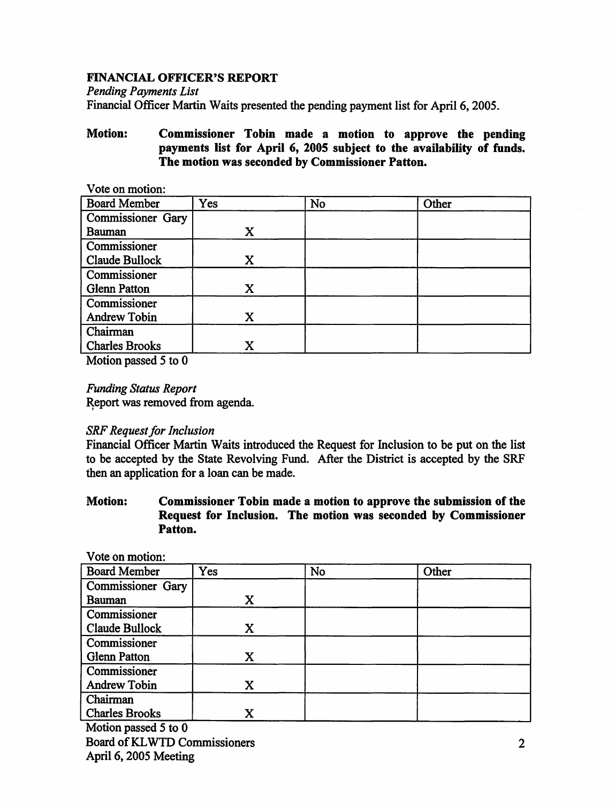#### FINANCIAL OFFICER'S REPORT

*Pending Payments List* 

Financial Officer Martin Waits presented the pending payment list for April 6, 2005.

#### Motion: Commissioner Tobin made a motion to approve the pending payments list for April 6, 2005 subject to the availability of funds. The motion was seconded by Commissioner Patton.

| Vote on motion:          |             |    |       |  |
|--------------------------|-------------|----|-------|--|
| <b>Board Member</b>      | Yes         | No | Other |  |
| <b>Commissioner Gary</b> |             |    |       |  |
| Bauman                   | X           |    |       |  |
| Commissioner             |             |    |       |  |
| <b>Claude Bullock</b>    | $\mathbf X$ |    |       |  |
| Commissioner             |             |    |       |  |
| <b>Glenn Patton</b>      | X           |    |       |  |
| Commissioner             |             |    |       |  |
| <b>Andrew Tobin</b>      | X           |    |       |  |
| Chairman                 |             |    |       |  |
| <b>Charles Brooks</b>    |             |    |       |  |

Motion passed 5 to 0

#### *Funding Status Report*

Report was removed from agenda.

#### *SRF Request for Inclusion*

Financial Officer Martin Waits introduced the Request for Inclusion to be put on the list to be accepted by the State Revolving Fund. After the District is accepted by the SRF then an application for a loan can be made.

#### Motion: Commissioner Tobin made a motion to approve the submission of the Request for Inclusion. The motion was seconded by Commissioner Patton.

Vote on motion:

| <b>Board Member</b>   | Yes         | No | Other |
|-----------------------|-------------|----|-------|
| Commissioner Gary     |             |    |       |
| <b>Bauman</b>         | $\mathbf x$ |    |       |
| Commissioner          |             |    |       |
| Claude Bullock        | X           |    |       |
| Commissioner          |             |    |       |
| <b>Glenn Patton</b>   | $\mathbf X$ |    |       |
| Commissioner          |             |    |       |
| <b>Andrew Tobin</b>   | X           |    |       |
| Chairman              |             |    |       |
| <b>Charles Brooks</b> |             |    |       |

Motion passed 5 to 0 Board ofKLWTD Commissioners April 6, 2005 Meeting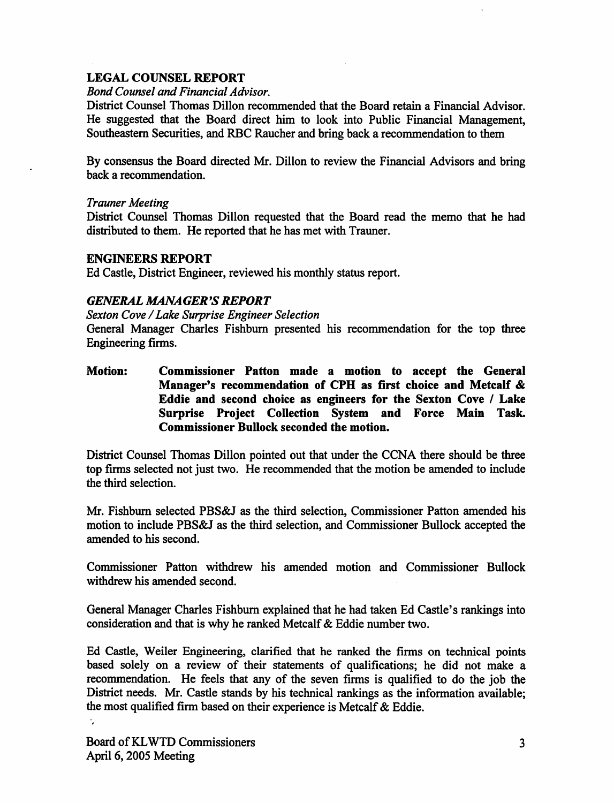#### LEGAL COUNSEL REPORT

#### *Bond Counsel and Financial Advisor.*

District Counsel Thomas Dillon recommended that the Board retain a Financial Advisor. He suggested that the Board direct him to look into Public Financial Management, Southeastern Securities, and RBC Raucher and bring back a recommendation to them

By consensus the Board directed Mr. Dillon to review the Financial Advisors and bring back a recommendation.

#### *Trauner Meeting*

District Counsel Thomas Dillon requested that the Board read the memo that he had distributed to them. He reported that he has met with Trauner.

#### ENGINEERS REPORT

Ed Castle, District Engineer, reviewed his monthly status report.

#### *GENERAL MANAGER'S REPORT*

**Sexton Cove / Lake Surprise Engineer Selection** 

General Manager Charles Fishburn presented his recommendation for the top three Engineering firms.

Motion: Commissioner Patton made a motion to accept the General Manager's recommendation of CPH as first choice and Metcalf & Eddie and second choice as engineers for the Sexton Cove / Lake Surprise Project Collection System and Force Main Task. Commissioner Bullock seconded the motion.

District Counsel Thomas Dillon pointed out that under the CCNA there should be three top firms selected not just two. He recommended that the motion be amended to include the third selection.

Mr. Fishburn selected PBS&J as the third selection, Commissioner Patton amended his motion to include PBS&J as the third selection, and Commissioner Bullock accepted the amended to his second.

Commissioner Patton withdrew his amended motion and Commissioner Bullock withdrew his amended second.

General Manager Charles Fishburn explained that he had taken Ed Castle's rankings into consideration and that is why he ranked Metcalf & Eddie number two.

Ed Castle, Weiler Engineering, clarified that he ranked the firms on technical points based solely on a review of their statements of qualifications; he did not make a recommendation. He feels that any of the seven firms is qualified to do the job the District needs. Mr. Castle stands by his technical rankings as the information available; the most qualified firm based on their experience is Metcalf & Eddie.

 $\cdot$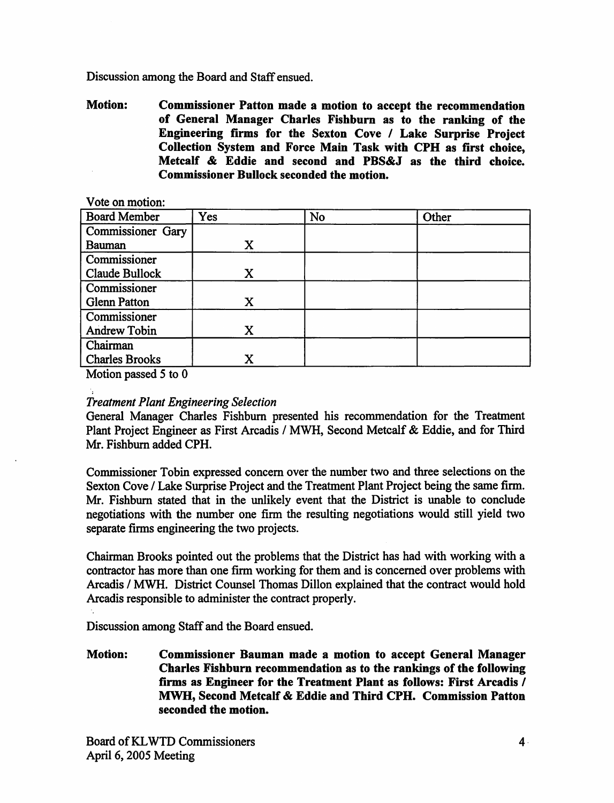Discussion among the Board and Staff ensued.

Motion: Commissioner Patton made a motion to accept the recommendation of General Manager Charles Fishburn as to the ranking of the Engineering firms for the Sexton Cove I Lake Surprise Project Collection System and Force Main Task with CPH as first choice, Metcalf & Eddie and second and PBS&J as the third choice. Commissioner Bullock seconded the motion.

Vote on motion:

| <b>Board Member</b>   | Yes | No | Other |
|-----------------------|-----|----|-------|
| Commissioner Gary     |     |    |       |
| <b>Bauman</b>         | X   |    |       |
| Commissioner          |     |    |       |
| <b>Claude Bullock</b> | X   |    |       |
| Commissioner          |     |    |       |
| <b>Glenn Patton</b>   | X   |    |       |
| Commissioner          |     |    |       |
| <b>Andrew Tobin</b>   | X   |    |       |
| Chairman              |     |    |       |
| <b>Charles Brooks</b> |     |    |       |

Motion passed 5 to 0

### *Treatment Plant Engineering Selection*

General Manager Charles Fishburn presented his recommendation for the Treatment Plant Project Engineer as First Arcadis / MWH, Second Metcalf & Eddie, and for Third Mr. Fishburn added CPH.

Commissioner Tobin expressed concern over the number two and three selections on the Sexton Cove / Lake Surprise Project and the Treatment Plant Project being the same firm. Mr. Fishburn stated that in the unlikely event that the District is unable to conclude negotiations with the number one firm the resulting negotiations would still yield two separate firms engineering the two projects.

Chairman Brooks pointed out the problems that the District has had with working with a contractor has more than one firm working for them and is concerned over problems with Arcadis / MWH. District Counsel Thomas Dillon explained that the contract would hold Arcadis responsible to administer the contract properly.

Discussion among Staff and the Board ensued.

Motion: Commissioner Bauman made a motion to accept General Manager Charles Fishburn recommendation as to the rankings of the following firms as Engineer for the Treatment Plant as follows: First Arcadis / MWH, Second Metcalf & Eddie and Third CPH. Commission Patton seconded the motion.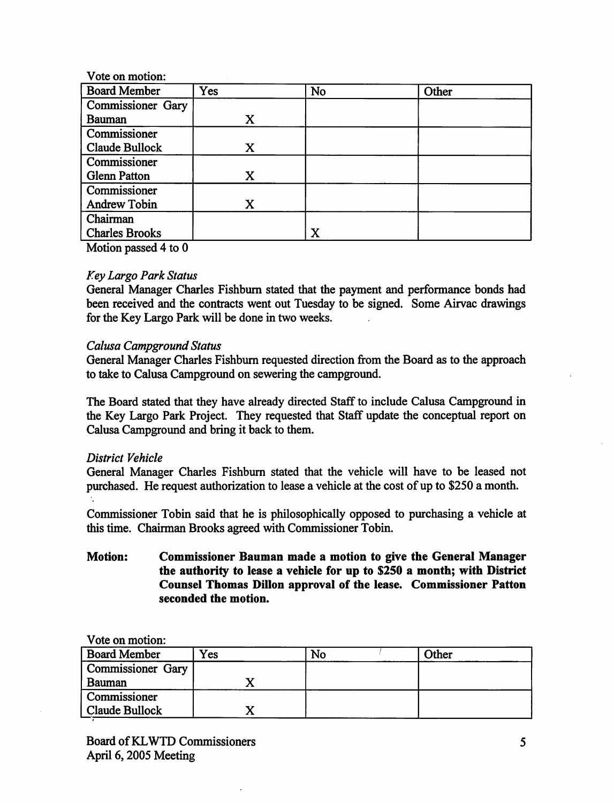| Vote on motion:       |              |    |       |
|-----------------------|--------------|----|-------|
| <b>Board Member</b>   | Yes          | No | Other |
| Commissioner Gary     |              |    |       |
| <b>Bauman</b>         | X            |    |       |
| Commissioner          |              |    |       |
| <b>Claude Bullock</b> | X            |    |       |
| Commissioner          |              |    |       |
| <b>Glenn Patton</b>   | X            |    |       |
| Commissioner          |              |    |       |
| <b>Andrew Tobin</b>   | $\mathbf{X}$ |    |       |
| Chairman              |              |    |       |
| <b>Charles Brooks</b> |              | X  |       |

Motion passed 4 to 0

#### *Key Largo Park Status*

General Manager Charles Fishburn stated that the payment and performance bonds had been received and the contracts went out Tuesday to be signed. Some Airvac drawings for the Key Largo Park will be done in two weeks.

#### *Calusa Campground Status*

General Manager Charles Fishburn requested direction from the Board as to the approach to take to Calusa Campground on sewering the campground.

The Board stated that they have already directed Staff to include Calusa Campground in the Key Largo Park Project. They requested that Staff update the conceptual report on Calusa Campground and bring it back to them.

#### *District Vehicle*

General Manager Charles Fishburn stated that the vehicle will have to be leased not purchased. He request authorization to lease a vehicle at the cost of up to \$250 a month.

Commissioner Tobin said that he is philosophically opposed to purchasing a vehicle at this time. Chairman Brooks agreed with Commissioner Tobin.

#### Motion: Commissioner Bauman made a motion to give the General Manager the authority to lease a vehicle for up to \$250 a month; with District Counsel Thomas Dillon approval of the lease. Commissioner Patton seconded the motion.

#### Vote on motion:

| <b>Board Member</b>      | <b>Yes</b> | No | Other |
|--------------------------|------------|----|-------|
| <b>Commissioner Gary</b> |            |    |       |
| <b>Bauman</b>            |            |    |       |
| Commissioner             |            |    |       |
| <b>Claude Bullock</b>    |            |    |       |

 $\ddot{\phantom{a}}$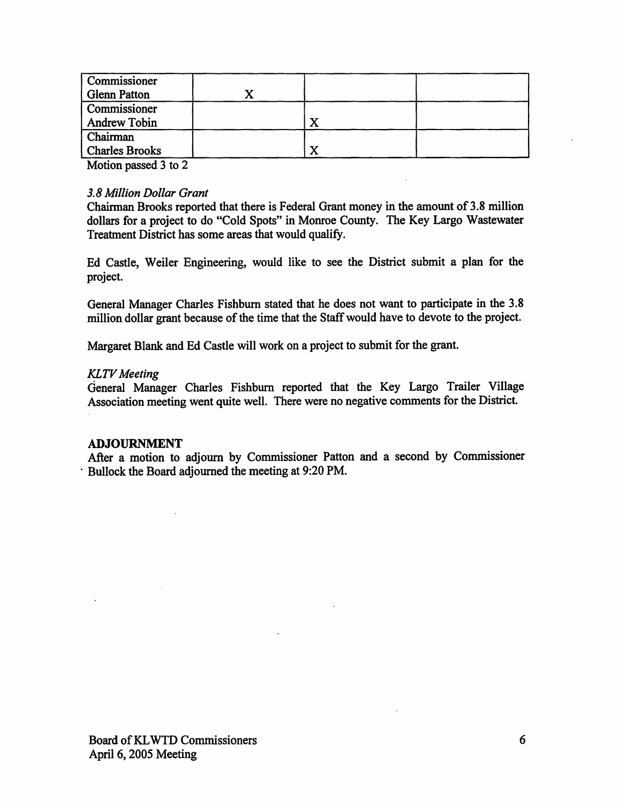| Commissioner          |   |  |
|-----------------------|---|--|
| <b>Glenn Patton</b>   |   |  |
| Commissioner          |   |  |
| <b>Andrew Tobin</b>   | X |  |
| Chairman              |   |  |
| <b>Charles Brooks</b> | X |  |

Motion passed 3 to 2

#### *3.8 Million Dollar Grant*

Chairman Brooks reported that there is Federal Grant money in the amount of 3.8 million dollars for a project to do "Cold Spots" in Monroe County. The Key Largo Wastewater Treatment District has some areas that would qualify.

Ed Castle, Weiler Engineering, would like to see the District submit a plan for the project.

General Manager Charles Fishburn stated that he does not want to participate in the 3.8 million dollar grant because of the time that the Staff would have to devote to the project.

Margaret Blank and Ed Castle will work on a project to submit for the grant.

#### *KLTV Meeting*

General Manager Charles Fishburn reported that the Key Largo Trailer Village Association meeting went quite well. There were no negative comments for the District.

#### ADJOURNMENT

 $\mathcal{L}_{\mathcal{L}}$ 

After a motion to adjourn by Commissioner Patton and a second by Commissioner ·. Bullock the Board adjourned the meeting at 9:20 PM.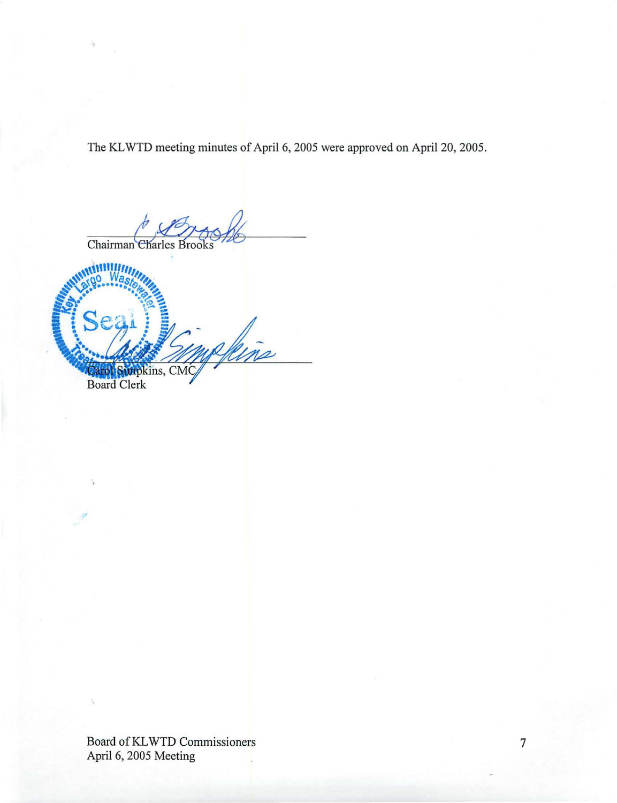The KLWTD meeting minutes of April 6, 2005 were approved on April 20, 2005.

 $\frac{1}{2\sqrt{2\pi}}$ Chairman Charles Brooks



Board of KL WTD Commissioners April 6, 2005 Meeting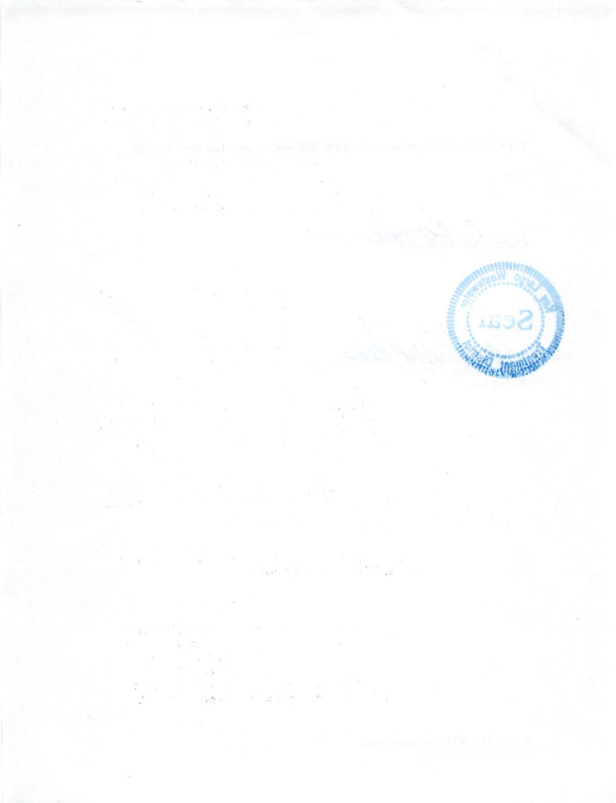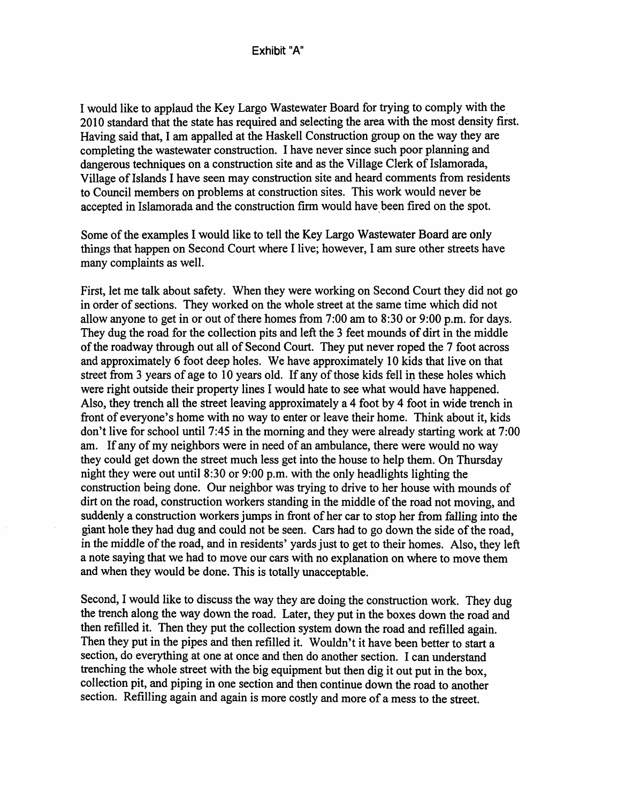#### Exhibit "A"

I would like to applaud the Key Largo Wastewater Board for trying to comply with the\_ 2010 standard that the state has required and selecting the area with the most density first. Having said that, I am appalled at the Haskell Construction group on the way they are completing the wastewater construction. I have never since such poor planning and dangerous techniques on a construction site and as the Village Clerk of Islamorada, Village of Islands I have seen may construction site and heard comments from residents to Council members on problems at construction sites. This work would never be accepted in Islamorada and the construction firm would have been fired on the spot.

Some of the examples I would like to tell the Key Largo Wastewater Board are only things that happen on Second Court where I live; however, I am sure other streets have many complaints as well.

First, let me talk about safety. When they were working on Second Court they did not go in order of sections. They worked on the whole street at the same time which did not allow anyone to get in or out of there homes from 7:00 am to 8:30 or 9:00 p.m. for days. They dug the road for the collection pits and left the 3 feet mounds of dirt in the middle of the roadway through out all of Second Court. They put never roped the 7 foot across and approximately 6 foot deep holes. We have approximately 10 kids that live on that street from 3 years of age to 10 years old. If any of those kids fell in these holes which were right outside their property lines I would hate to see what would have happened. Also, they trench all the street leaving approximately a 4 foot by 4 foot in wide trench in front of everyone's home with no way to enter or leave their home. Think about it, kids don't live for school until 7:45 in the morning and they were already starting work at 7:00 am. If any of my neighbors were in need of an ambulance, there were would no way they could get down the street much less get into the house to help them. On Thursday night they were out until 8:30 or 9:00 p.m. with the only headlights lighting the construction being done. Our neighbor was trying to drive to her house with mounds of dirt on the road, construction workers standing in the middle of the road not moving, and suddenly a construction workers jumps in front of her car to stop her from falling into the giant hole they had dug and could not be seen. Cars had to go down the side of the road, in the middle of the road, and in residents' yards just to get to their homes. Also, they left a note saying that we had to move our cars with no explanation on where to move them and when they would be done. This is totally unacceptable.

Second, I would like to discuss the way they are doing the construction work. They dug the trench along the way down the road. Later, they put in the boxes down the road and then refilled it. Then they put the collection system down the road and refilled again. Then they put in the pipes and then refilled it. Wouldn't it have been better to start a section, do everything at one at once and 'then do another section. I can understand trenching the whole street with the big equipment but then dig it out put in the box, collection pit, and piping in one section and then continue down the road to another section. Refilling again and again is more costly and more of a mess to the street.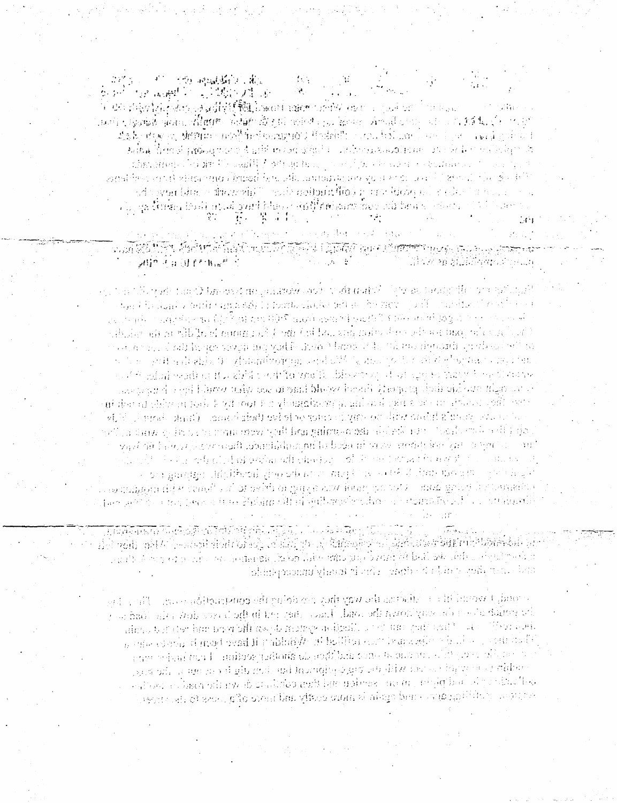Be and I have concented by a station of the concentration ใช้ ซีรับไม่สุดให้เล็กต่อการตั้งเป็นใช้ ซีซี โอลเอย โลมิตซาวด์สีฟ เอะยุก ราวแล้วอย <sup>1</sup> วันเล็กแบบ **Control March** านเก่ง บนิวต่อยิ่ง เมื่อลังการที่ในบทบาทีเป็นปี เป็นปัจจุบัง (เป็นปัจจุบัง) เป็นปัจจุบัง (เป็นปัจจุบัง) ได้ สี นักรู้ (เป็นปาร์) (ปัจจุบัง) which are possibly the proof the company of the first state of the second states  $\hat{A}$  and  $\hat{A}$  and  $\hat{A}$ Adha Belgoi proporcing si pik to ber altail i continua apolitane con ile ile illiciam di when the collection of the second of the second probability the collection of  $\frac{1}{2}$  and  $\frac{1}{2}$ zandrinin erasi zilasanana Phybod ina udis suntonsistema vola erabi lavai i Lateral Hanzin bili As won the suffered it seek actions field sure then the last such as a As yn Greind Boeld arwai glaich blac A Rudfhachadair ann an blach a' Acheron (1977) Sideway. 新闻的事情的  $\sim$   $3\%$  $\mathcal{L}(\cdot)$ 

 $\mathcal{L}_{\mathrm{max}}$ 

the modeling the

#### 医头动脉搏 医毛毛细胞炎  $\frac{1}{2} \sum_{i=1}^n \frac{1}{2} \sum_{j=1}^n \frac{1}{2} \sum_{j=1}^n \frac{1}{2} \sum_{j=1}^n \frac{1}{2} \sum_{j=1}^n \frac{1}{2} \sum_{j=1}^n \frac{1}{2} \sum_{j=1}^n \frac{1}{2} \sum_{j=1}^n \frac{1}{2} \sum_{j=1}^n \frac{1}{2} \sum_{j=1}^n \frac{1}{2} \sum_{j=1}^n \frac{1}{2} \sum_{j=1}^n \frac{1}{2} \sum_{j=1}^n \frac{1}{2} \sum_{j=$ .<br>Kabupatèn  $\mathcal{M}_1^{\text{Lip}}\left(\mathcal{F}_{\text{Lip}}\right)(\mathcal{F}_{\text{Lip}}^{\text{Lip}}\mathcal{F}_{\text{Lip}}^{\text{Lip}}\mathcal{F}_{\text{Lip}}^{\text{Lip}})$

e), tha tiết giái tam<mark>t) br</mark>eas 4 <del>nó ja hưu*ge longe th*ái (ruit</del>) - Virges, takán dà tor e hitinui the Childales and Campaign France along a low now to He capital Coleties of રના ખેતામાં તે પ્રાથમિક પ્રાપ્ત હોય છે. તો તેમ છોઈ લોકોને રાજ્ય પ્રાથમિક દારોની દાવિન માટેલી કરેલું છે. આ તેમ મ divides an an elliptical condition is with find hall agencies for the soft and only single states. so esta volta si call lastace scopia que vial fe disch à brond si dissidue distrussible su obessai soli as to the cost in highly 40 yields decay band 594 is sent to it. I said a below a mark for on the same would not be given to definitionally different on all of algebra share to the share by instruction of a contribution of the constant Market and What were bounded in the bounded of at the calculation of such a will a selection of the content in the above no the collaboration of the top the of it of strain distinct and the case of response to decouple the control of the control of the local state in an'i Taoisean ao Frantsa. No ben'ny delokaza amin'ny antara ara-daharampehintany ary ara-daharanjarahasin'ilay vant die hale verbliede aand baanstaltnament to bode nie verowerendet in erloop te beleef van die verb  $\mathbb{Z}_2$  ,  $\mathbb{Z}_2$  is the reference of explores and the first contribution of  $\mathbb{R}^2$  , i.e., and  $\mathbb{Z}_2$ - on ganggit dikilberal sing situatur meg Cak socié d'Araches ant colait hasie ါ အစေးဆုံးစွာအားဖြစ် အစ်မေး သင်းသုံးစွဲစွမ်းမှာ ဝိုးညှိုရာ အသံအား စိုးစောင့်စွာလောင် ေအစစီး ရွင်းသုံးပြင် သမအနေပြီးသ o fugeoplashe la crea (genero da na Barbina Alfah igallumas leventaan la badzinas Ribblisha o verbilaganii)

DESCRIPTION OF THE CONSTRUCTION OF THE CONTRACTOR OF THE CONTRACTOR ang pagkalan ર્ટાનો જ્યારે જીવરે નિન્દાલનો વાતો છોવેલો, ત્વેણીનું પુષ્ટ પર ઉપરેજાઓને જેવાની જેટલે તો જ્યારેથી સાથે જોઈએ ક્ષેત marth diversion over a spinochabele, modellabo emb popularistical son determination del shini pasma vinisi a done shelining tanasiya bahasi da

 $\sim$  ond  $\Gamma$  we an idea to a since the way they side to the construction  $\sim$  and  $\sim$  Fig. the ball also had speed addition rad, coald bac, additional and more in the different. ainse to finder him terestially as the history and to life of the part of the first containing the first contain Their decreases in the compact theory of the Wohlday if have been below a recent of come to the properties to a colour part of the condition of a section. The property dependence speci odli se nuo ne v ri giti deste nici inscrigitopologico siti pli i v coste e trageno nese digiono estima a chinen minamedi crashinea anti lete polimesi are ma empiribasi si parabasilise.  $\mathcal{H}_{\mathcal{D}}$  , which contains a more very probably and the contained in the state section of the state section